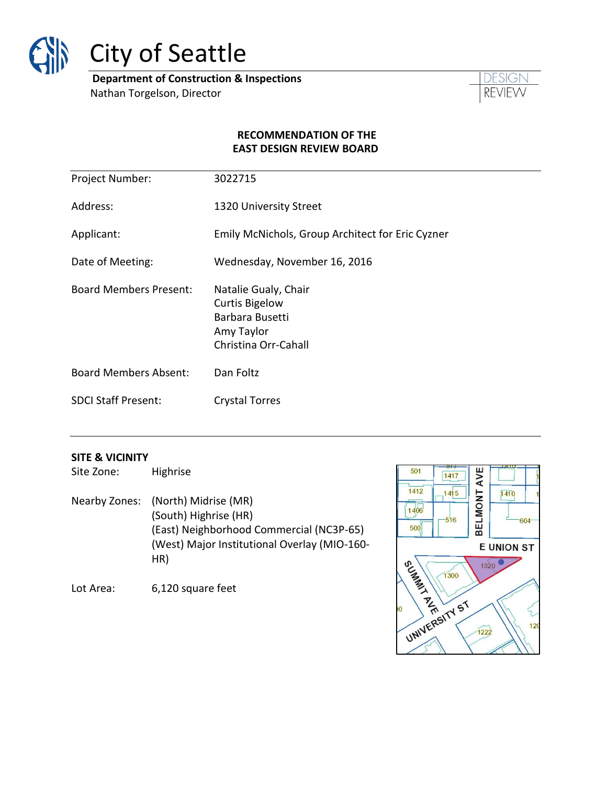

# City of Seattle

**Department of Construction & Inspections** Nathan Torgelson, Director



#### **RECOMMENDATION OF THE EAST DESIGN REVIEW BOARD**

| Project Number:               | 3022715                                                                                                |
|-------------------------------|--------------------------------------------------------------------------------------------------------|
| Address:                      | 1320 University Street                                                                                 |
| Applicant:                    | Emily McNichols, Group Architect for Eric Cyzner                                                       |
| Date of Meeting:              | Wednesday, November 16, 2016                                                                           |
| <b>Board Members Present:</b> | Natalie Gualy, Chair<br><b>Curtis Bigelow</b><br>Barbara Busetti<br>Amy Taylor<br>Christina Orr-Cahall |
| <b>Board Members Absent:</b>  | Dan Foltz                                                                                              |
| <b>SDCI Staff Present:</b>    | <b>Crystal Torres</b>                                                                                  |

#### **SITE & VICINITY**

Site Zone: Highrise

Nearby Zones: (North) Midrise (MR) (South) Highrise (HR) (East) Neighborhood Commercial (NC3P-65) (West) Major Institutional Overlay (MIO-160- HR)

Lot Area: 6,120 square feet

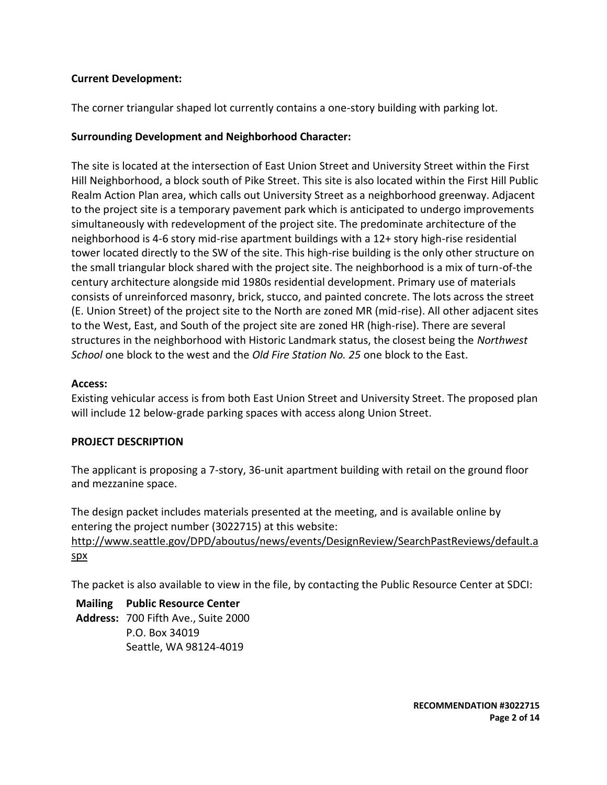## **Current Development:**

The corner triangular shaped lot currently contains a one-story building with parking lot.

## **Surrounding Development and Neighborhood Character:**

The site is located at the intersection of East Union Street and University Street within the First Hill Neighborhood, a block south of Pike Street. This site is also located within the First Hill Public Realm Action Plan area, which calls out University Street as a neighborhood greenway. Adjacent to the project site is a temporary pavement park which is anticipated to undergo improvements simultaneously with redevelopment of the project site. The predominate architecture of the neighborhood is 4-6 story mid-rise apartment buildings with a 12+ story high-rise residential tower located directly to the SW of the site. This high-rise building is the only other structure on the small triangular block shared with the project site. The neighborhood is a mix of turn-of-the century architecture alongside mid 1980s residential development. Primary use of materials consists of unreinforced masonry, brick, stucco, and painted concrete. The lots across the street (E. Union Street) of the project site to the North are zoned MR (mid-rise). All other adjacent sites to the West, East, and South of the project site are zoned HR (high-rise). There are several structures in the neighborhood with Historic Landmark status, the closest being the *Northwest School* one block to the west and the *Old Fire Station No. 25* one block to the East.

#### **Access:**

Existing vehicular access is from both East Union Street and University Street. The proposed plan will include 12 below-grade parking spaces with access along Union Street.

#### **PROJECT DESCRIPTION**

The applicant is proposing a 7-story, 36-unit apartment building with retail on the ground floor and mezzanine space.

The design packet includes materials presented at the meeting, and is available online by entering the project number (3022715) at this website: [http://www.seattle.gov/DPD/aboutus/news/events/DesignReview/SearchPastReviews/default.a](http://www.seattle.gov/DPD/aboutus/news/events/DesignReview/SearchPastReviews/default.aspx) [spx](http://www.seattle.gov/DPD/aboutus/news/events/DesignReview/SearchPastReviews/default.aspx)

The packet is also available to view in the file, by contacting the Public Resource Center at SDCI:

**Mailing Public Resource Center Address:** 700 Fifth Ave., Suite 2000 P.O. Box 34019 Seattle, WA 98124-4019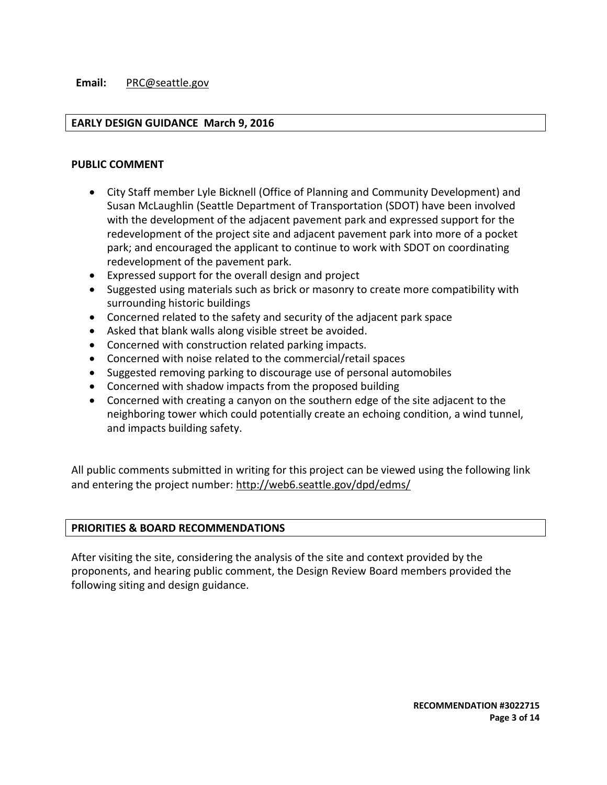#### **Email:** [PRC@seattle.gov](mailto:PRC@seattle.gov)

#### **EARLY DESIGN GUIDANCE March 9, 2016**

#### **PUBLIC COMMENT**

- City Staff member Lyle Bicknell (Office of Planning and Community Development) and Susan McLaughlin (Seattle Department of Transportation (SDOT) have been involved with the development of the adjacent pavement park and expressed support for the redevelopment of the project site and adjacent pavement park into more of a pocket park; and encouraged the applicant to continue to work with SDOT on coordinating redevelopment of the pavement park.
- Expressed support for the overall design and project
- Suggested using materials such as brick or masonry to create more compatibility with surrounding historic buildings
- Concerned related to the safety and security of the adjacent park space
- Asked that blank walls along visible street be avoided.
- Concerned with construction related parking impacts.
- Concerned with noise related to the commercial/retail spaces
- Suggested removing parking to discourage use of personal automobiles
- Concerned with shadow impacts from the proposed building
- Concerned with creating a canyon on the southern edge of the site adjacent to the neighboring tower which could potentially create an echoing condition, a wind tunnel, and impacts building safety.

All public comments submitted in writing for this project can be viewed using the following link and entering the project number:<http://web6.seattle.gov/dpd/edms/>

#### **PRIORITIES & BOARD RECOMMENDATIONS**

After visiting the site, considering the analysis of the site and context provided by the proponents, and hearing public comment, the Design Review Board members provided the following siting and design guidance.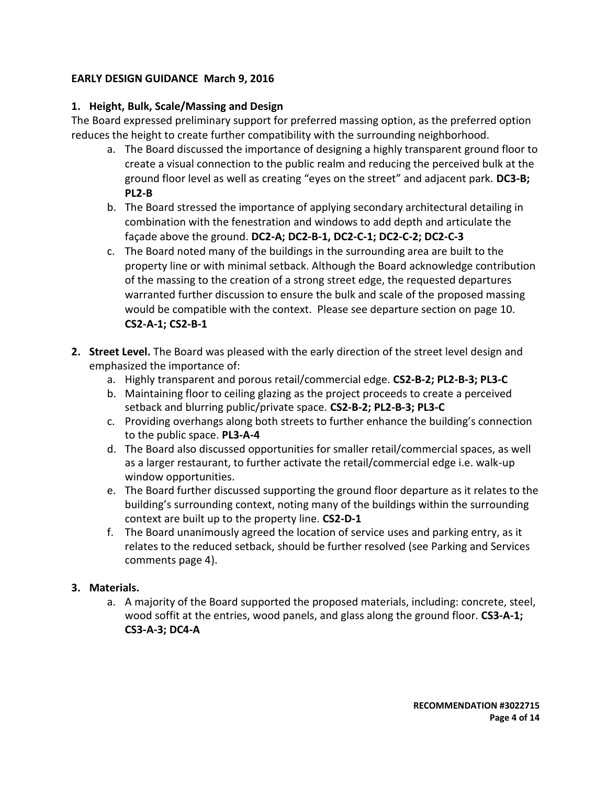# **EARLY DESIGN GUIDANCE March 9, 2016**

# **1. Height, Bulk, Scale/Massing and Design**

The Board expressed preliminary support for preferred massing option, as the preferred option reduces the height to create further compatibility with the surrounding neighborhood.

- a. The Board discussed the importance of designing a highly transparent ground floor to create a visual connection to the public realm and reducing the perceived bulk at the ground floor level as well as creating "eyes on the street" and adjacent park. **DC3-B; PL2-B**
- b. The Board stressed the importance of applying secondary architectural detailing in combination with the fenestration and windows to add depth and articulate the façade above the ground. **DC2-A; DC2-B-1, DC2-C-1; DC2-C-2; DC2-C-3**
- c. The Board noted many of the buildings in the surrounding area are built to the property line or with minimal setback. Although the Board acknowledge contribution of the massing to the creation of a strong street edge, the requested departures warranted further discussion to ensure the bulk and scale of the proposed massing would be compatible with the context. Please see departure section on page 10. **CS2-A-1; CS2-B-1**
- **2. Street Level.** The Board was pleased with the early direction of the street level design and emphasized the importance of:
	- a. Highly transparent and porous retail/commercial edge. **CS2-B-2; PL2-B-3; PL3-C**
	- b. Maintaining floor to ceiling glazing as the project proceeds to create a perceived setback and blurring public/private space. **CS2-B-2; PL2-B-3; PL3-C**
	- c. Providing overhangs along both streets to further enhance the building's connection to the public space. **PL3-A-4**
	- d. The Board also discussed opportunities for smaller retail/commercial spaces, as well as a larger restaurant, to further activate the retail/commercial edge i.e. walk-up window opportunities.
	- e. The Board further discussed supporting the ground floor departure as it relates to the building's surrounding context, noting many of the buildings within the surrounding context are built up to the property line. **CS2-D-1**
	- f. The Board unanimously agreed the location of service uses and parking entry, as it relates to the reduced setback, should be further resolved (see Parking and Services comments page 4).

# **3. Materials.**

a. A majority of the Board supported the proposed materials, including: concrete, steel, wood soffit at the entries, wood panels, and glass along the ground floor. **CS3-A-1; CS3-A-3; DC4-A**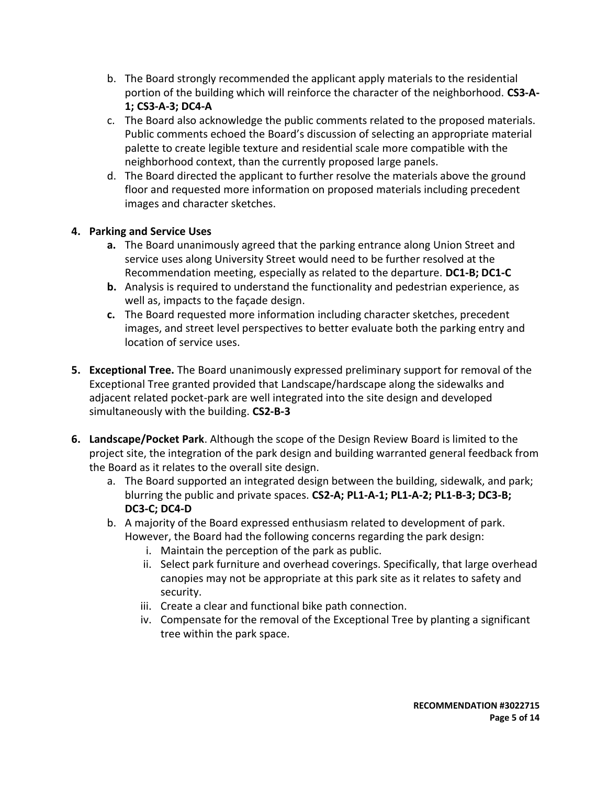- b. The Board strongly recommended the applicant apply materials to the residential portion of the building which will reinforce the character of the neighborhood. **CS3-A-1; CS3-A-3; DC4-A**
- c. The Board also acknowledge the public comments related to the proposed materials. Public comments echoed the Board's discussion of selecting an appropriate material palette to create legible texture and residential scale more compatible with the neighborhood context, than the currently proposed large panels.
- d. The Board directed the applicant to further resolve the materials above the ground floor and requested more information on proposed materials including precedent images and character sketches.

# **4. Parking and Service Uses**

- **a.** The Board unanimously agreed that the parking entrance along Union Street and service uses along University Street would need to be further resolved at the Recommendation meeting, especially as related to the departure. **DC1-B; DC1-C**
- **b.** Analysis is required to understand the functionality and pedestrian experience, as well as, impacts to the façade design.
- **c.** The Board requested more information including character sketches, precedent images, and street level perspectives to better evaluate both the parking entry and location of service uses.
- **5. Exceptional Tree.** The Board unanimously expressed preliminary support for removal of the Exceptional Tree granted provided that Landscape/hardscape along the sidewalks and adjacent related pocket-park are well integrated into the site design and developed simultaneously with the building. **CS2-B-3**
- **6. Landscape/Pocket Park**. Although the scope of the Design Review Board is limited to the project site, the integration of the park design and building warranted general feedback from the Board as it relates to the overall site design.
	- a. The Board supported an integrated design between the building, sidewalk, and park; blurring the public and private spaces. **CS2-A; PL1-A-1; PL1-A-2; PL1-B-3; DC3-B; DC3-C; DC4-D**
	- b. A majority of the Board expressed enthusiasm related to development of park. However, the Board had the following concerns regarding the park design:
		- i. Maintain the perception of the park as public.
		- ii. Select park furniture and overhead coverings. Specifically, that large overhead canopies may not be appropriate at this park site as it relates to safety and security.
		- iii. Create a clear and functional bike path connection.
		- iv. Compensate for the removal of the Exceptional Tree by planting a significant tree within the park space.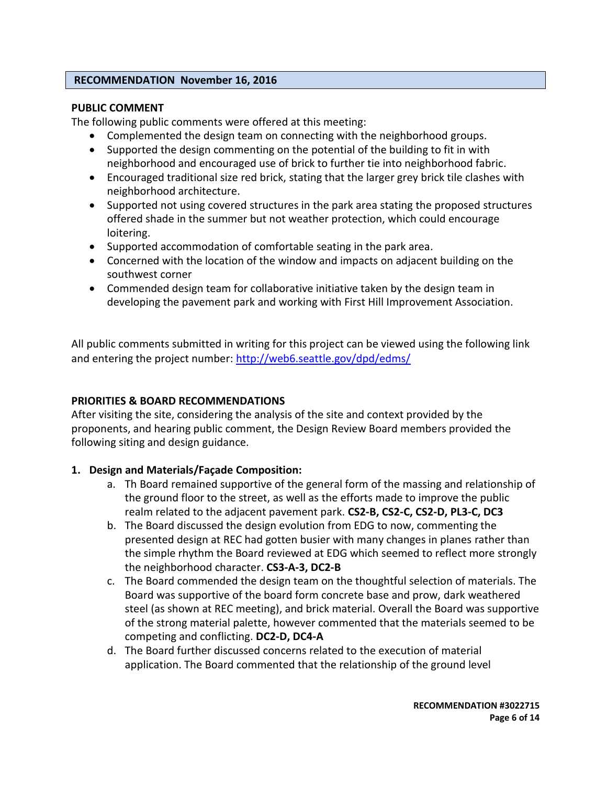#### **RECOMMENDATION November 16, 2016**

#### **PUBLIC COMMENT**

The following public comments were offered at this meeting:

- Complemented the design team on connecting with the neighborhood groups.
- Supported the design commenting on the potential of the building to fit in with neighborhood and encouraged use of brick to further tie into neighborhood fabric.
- Encouraged traditional size red brick, stating that the larger grey brick tile clashes with neighborhood architecture.
- Supported not using covered structures in the park area stating the proposed structures offered shade in the summer but not weather protection, which could encourage loitering.
- Supported accommodation of comfortable seating in the park area.
- Concerned with the location of the window and impacts on adjacent building on the southwest corner
- Commended design team for collaborative initiative taken by the design team in developing the pavement park and working with First Hill Improvement Association.

All public comments submitted in writing for this project can be viewed using the following link and entering the project number:<http://web6.seattle.gov/dpd/edms/>

# **PRIORITIES & BOARD RECOMMENDATIONS**

After visiting the site, considering the analysis of the site and context provided by the proponents, and hearing public comment, the Design Review Board members provided the following siting and design guidance.

#### **1. Design and Materials/Façade Composition:**

- a. Th Board remained supportive of the general form of the massing and relationship of the ground floor to the street, as well as the efforts made to improve the public realm related to the adjacent pavement park. **CS2-B, CS2-C, CS2-D, PL3-C, DC3**
- b. The Board discussed the design evolution from EDG to now, commenting the presented design at REC had gotten busier with many changes in planes rather than the simple rhythm the Board reviewed at EDG which seemed to reflect more strongly the neighborhood character. **CS3-A-3, DC2-B**
- c. The Board commended the design team on the thoughtful selection of materials. The Board was supportive of the board form concrete base and prow, dark weathered steel (as shown at REC meeting), and brick material. Overall the Board was supportive of the strong material palette, however commented that the materials seemed to be competing and conflicting. **DC2-D, DC4-A**
- d. The Board further discussed concerns related to the execution of material application. The Board commented that the relationship of the ground level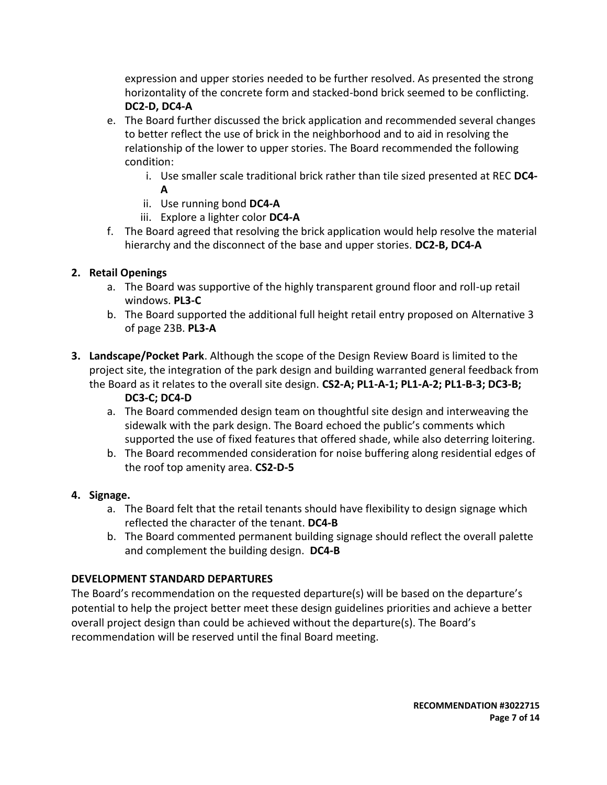expression and upper stories needed to be further resolved. As presented the strong horizontality of the concrete form and stacked-bond brick seemed to be conflicting. **DC2-D, DC4-A**

- e. The Board further discussed the brick application and recommended several changes to better reflect the use of brick in the neighborhood and to aid in resolving the relationship of the lower to upper stories. The Board recommended the following condition:
	- i. Use smaller scale traditional brick rather than tile sized presented at REC **DC4- A**
	- ii. Use running bond **DC4-A**
	- iii. Explore a lighter color **DC4-A**
- f. The Board agreed that resolving the brick application would help resolve the material hierarchy and the disconnect of the base and upper stories. **DC2-B, DC4-A**

# **2. Retail Openings**

- a. The Board was supportive of the highly transparent ground floor and roll-up retail windows. **PL3-C**
- b. The Board supported the additional full height retail entry proposed on Alternative 3 of page 23B. **PL3-A**
- **3. Landscape/Pocket Park**. Although the scope of the Design Review Board is limited to the project site, the integration of the park design and building warranted general feedback from the Board as it relates to the overall site design. **CS2-A; PL1-A-1; PL1-A-2; PL1-B-3; DC3-B;**

# **DC3-C; DC4-D**

- a. The Board commended design team on thoughtful site design and interweaving the sidewalk with the park design. The Board echoed the public's comments which supported the use of fixed features that offered shade, while also deterring loitering.
- b. The Board recommended consideration for noise buffering along residential edges of the roof top amenity area. **CS2-D-5**

# **4. Signage.**

- a. The Board felt that the retail tenants should have flexibility to design signage which reflected the character of the tenant. **DC4-B**
- b. The Board commented permanent building signage should reflect the overall palette and complement the building design. **DC4-B**

# **DEVELOPMENT STANDARD DEPARTURES**

The Board's recommendation on the requested departure(s) will be based on the departure's potential to help the project better meet these design guidelines priorities and achieve a better overall project design than could be achieved without the departure(s). The Board's recommendation will be reserved until the final Board meeting.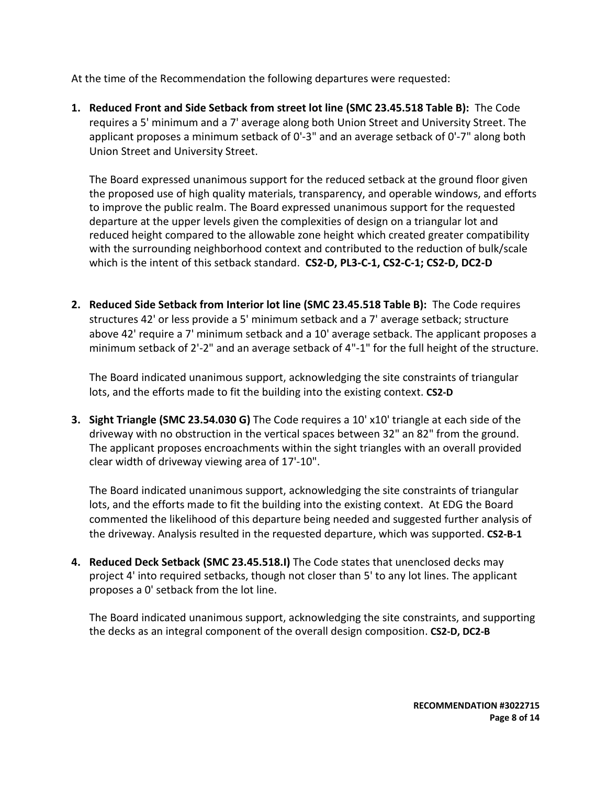At the time of the Recommendation the following departures were requested:

**1. Reduced Front and Side Setback from street lot line (SMC 23.45.518 Table B):** The Code requires a 5' minimum and a 7' average along both Union Street and University Street. The applicant proposes a minimum setback of 0'-3" and an average setback of 0'-7" along both Union Street and University Street.

The Board expressed unanimous support for the reduced setback at the ground floor given the proposed use of high quality materials, transparency, and operable windows, and efforts to improve the public realm. The Board expressed unanimous support for the requested departure at the upper levels given the complexities of design on a triangular lot and reduced height compared to the allowable zone height which created greater compatibility with the surrounding neighborhood context and contributed to the reduction of bulk/scale which is the intent of this setback standard. **CS2-D, PL3-C-1, CS2-C-1; CS2-D, DC2-D**

**2. Reduced Side Setback from Interior lot line (SMC 23.45.518 Table B):** The Code requires structures 42' or less provide a 5' minimum setback and a 7' average setback; structure above 42' require a 7' minimum setback and a 10' average setback. The applicant proposes a minimum setback of 2'-2" and an average setback of 4"-1" for the full height of the structure.

The Board indicated unanimous support, acknowledging the site constraints of triangular lots, and the efforts made to fit the building into the existing context. **CS2-D**

**3. Sight Triangle (SMC 23.54.030 G)** The Code requires a 10' x10' triangle at each side of the driveway with no obstruction in the vertical spaces between 32" an 82" from the ground. The applicant proposes encroachments within the sight triangles with an overall provided clear width of driveway viewing area of 17'-10".

The Board indicated unanimous support, acknowledging the site constraints of triangular lots, and the efforts made to fit the building into the existing context. At EDG the Board commented the likelihood of this departure being needed and suggested further analysis of the driveway. Analysis resulted in the requested departure, which was supported. **CS2-B-1**

**4. Reduced Deck Setback (SMC 23.45.518.I)** The Code states that unenclosed decks may project 4' into required setbacks, though not closer than 5' to any lot lines. The applicant proposes a 0' setback from the lot line.

The Board indicated unanimous support, acknowledging the site constraints, and supporting the decks as an integral component of the overall design composition. **CS2-D, DC2-B**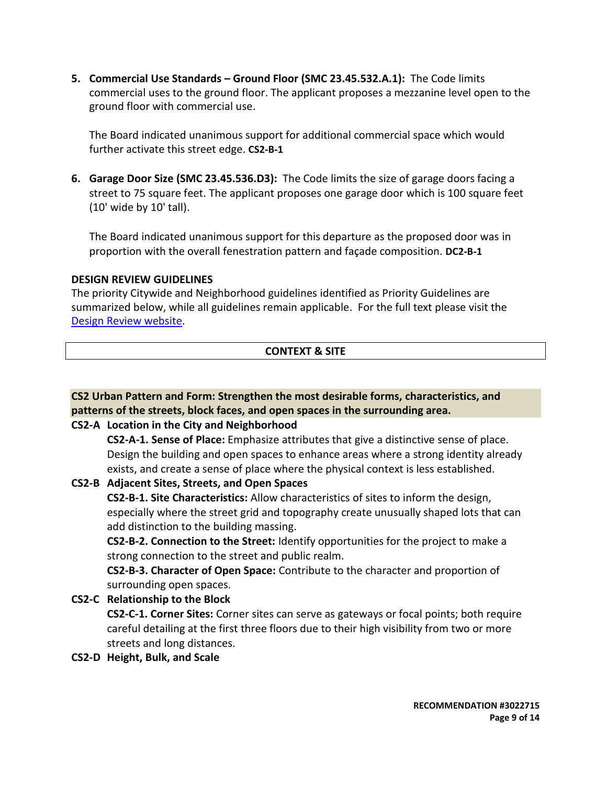**5. Commercial Use Standards – Ground Floor (SMC 23.45.532.A.1):** The Code limits commercial uses to the ground floor. The applicant proposes a mezzanine level open to the ground floor with commercial use.

The Board indicated unanimous support for additional commercial space which would further activate this street edge. **CS2-B-1**

**6. Garage Door Size (SMC 23.45.536.D3):** The Code limits the size of garage doors facing a street to 75 square feet. The applicant proposes one garage door which is 100 square feet (10' wide by 10' tall).

The Board indicated unanimous support for this departure as the proposed door was in proportion with the overall fenestration pattern and façade composition. **DC2-B-1**

## **DESIGN REVIEW GUIDELINES**

The priority Citywide and Neighborhood guidelines identified as Priority Guidelines are summarized below, while all guidelines remain applicable. For the full text please visit the [Design Review website.](https://www.seattle.gov/dpd/aboutus/whoweare/designreview/designguidelines/default.htm)

# **CONTEXT & SITE**

|  |  | CS2 Urban Pattern and Form: Strengthen the most desirable forms, characteristics, and |
|--|--|---------------------------------------------------------------------------------------|
|  |  | patterns of the streets, block faces, and open spaces in the surrounding area.        |
|  |  |                                                                                       |

# **CS2-A Location in the City and Neighborhood**

**CS2-A-1. Sense of Place:** Emphasize attributes that give a distinctive sense of place. Design the building and open spaces to enhance areas where a strong identity already exists, and create a sense of place where the physical context is less established.

# **CS2-B Adjacent Sites, Streets, and Open Spaces**

**CS2-B-1. Site Characteristics:** Allow characteristics of sites to inform the design, especially where the street grid and topography create unusually shaped lots that can add distinction to the building massing.

**CS2-B-2. Connection to the Street:** Identify opportunities for the project to make a strong connection to the street and public realm.

**CS2-B-3. Character of Open Space:** Contribute to the character and proportion of surrounding open spaces.

**CS2-C Relationship to the Block**

**CS2-C-1. Corner Sites:** Corner sites can serve as gateways or focal points; both require careful detailing at the first three floors due to their high visibility from two or more streets and long distances.

**CS2-D Height, Bulk, and Scale**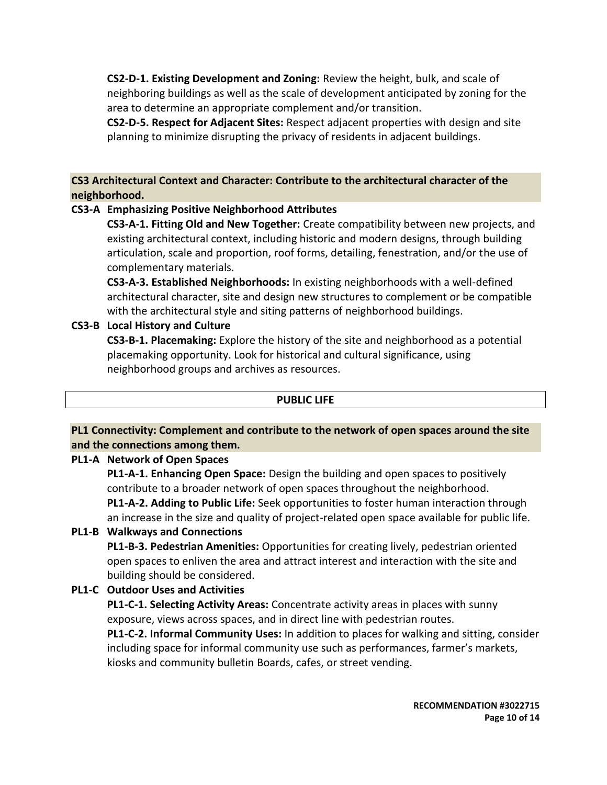**CS2-D-1. Existing Development and Zoning:** Review the height, bulk, and scale of neighboring buildings as well as the scale of development anticipated by zoning for the area to determine an appropriate complement and/or transition.

**CS2-D-5. Respect for Adjacent Sites:** Respect adjacent properties with design and site planning to minimize disrupting the privacy of residents in adjacent buildings.

**CS3 Architectural Context and Character: Contribute to the architectural character of the neighborhood.**

# **CS3-A Emphasizing Positive Neighborhood Attributes**

**CS3-A-1. Fitting Old and New Together:** Create compatibility between new projects, and existing architectural context, including historic and modern designs, through building articulation, scale and proportion, roof forms, detailing, fenestration, and/or the use of complementary materials.

**CS3-A-3. Established Neighborhoods:** In existing neighborhoods with a well-defined architectural character, site and design new structures to complement or be compatible with the architectural style and siting patterns of neighborhood buildings.

## **CS3-B Local History and Culture**

**CS3-B-1. Placemaking:** Explore the history of the site and neighborhood as a potential placemaking opportunity. Look for historical and cultural significance, using neighborhood groups and archives as resources.

#### **PUBLIC LIFE**

# **PL1 Connectivity: Complement and contribute to the network of open spaces around the site and the connections among them.**

#### **PL1-A Network of Open Spaces**

**PL1-A-1. Enhancing Open Space:** Design the building and open spaces to positively contribute to a broader network of open spaces throughout the neighborhood. **PL1-A-2. Adding to Public Life:** Seek opportunities to foster human interaction through an increase in the size and quality of project-related open space available for public life.

#### **PL1-B Walkways and Connections**

**PL1-B-3. Pedestrian Amenities:** Opportunities for creating lively, pedestrian oriented open spaces to enliven the area and attract interest and interaction with the site and building should be considered.

# **PL1-C Outdoor Uses and Activities**

**PL1-C-1. Selecting Activity Areas:** Concentrate activity areas in places with sunny exposure, views across spaces, and in direct line with pedestrian routes.

**PL1-C-2. Informal Community Uses:** In addition to places for walking and sitting, consider including space for informal community use such as performances, farmer's markets, kiosks and community bulletin Boards, cafes, or street vending.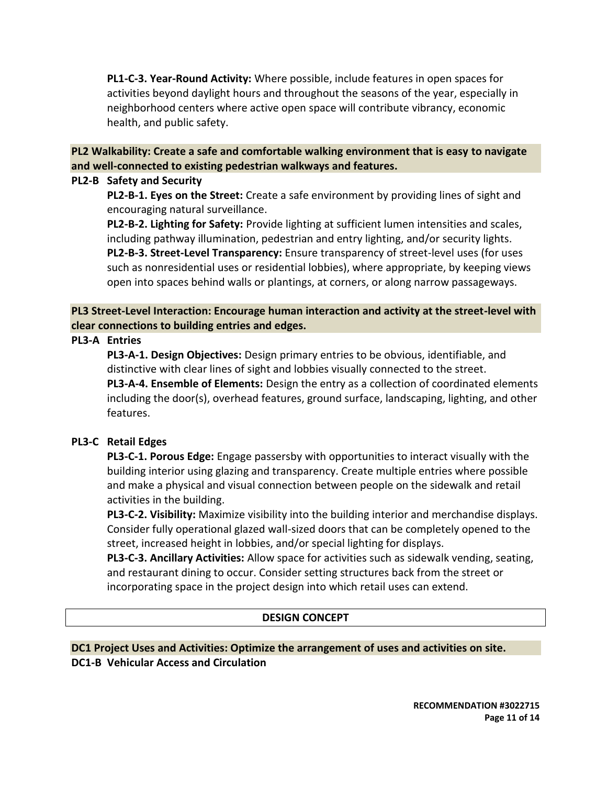**PL1-C-3. Year-Round Activity:** Where possible, include features in open spaces for activities beyond daylight hours and throughout the seasons of the year, especially in neighborhood centers where active open space will contribute vibrancy, economic health, and public safety.

## **PL2 Walkability: Create a safe and comfortable walking environment that is easy to navigate and well-connected to existing pedestrian walkways and features.**

#### **PL2-B Safety and Security**

**PL2-B-1. Eyes on the Street:** Create a safe environment by providing lines of sight and encouraging natural surveillance.

**PL2-B-2. Lighting for Safety:** Provide lighting at sufficient lumen intensities and scales, including pathway illumination, pedestrian and entry lighting, and/or security lights. **PL2-B-3. Street-Level Transparency:** Ensure transparency of street-level uses (for uses such as nonresidential uses or residential lobbies), where appropriate, by keeping views open into spaces behind walls or plantings, at corners, or along narrow passageways.

**PL3 Street-Level Interaction: Encourage human interaction and activity at the street-level with clear connections to building entries and edges.**

## **PL3-A Entries**

**PL3-A-1. Design Objectives:** Design primary entries to be obvious, identifiable, and distinctive with clear lines of sight and lobbies visually connected to the street. **PL3-A-4. Ensemble of Elements:** Design the entry as a collection of coordinated elements including the door(s), overhead features, ground surface, landscaping, lighting, and other features.

#### **PL3-C Retail Edges**

**PL3-C-1. Porous Edge:** Engage passersby with opportunities to interact visually with the building interior using glazing and transparency. Create multiple entries where possible and make a physical and visual connection between people on the sidewalk and retail activities in the building.

**PL3-C-2. Visibility:** Maximize visibility into the building interior and merchandise displays. Consider fully operational glazed wall-sized doors that can be completely opened to the street, increased height in lobbies, and/or special lighting for displays.

**PL3-C-3. Ancillary Activities:** Allow space for activities such as sidewalk vending, seating, and restaurant dining to occur. Consider setting structures back from the street or incorporating space in the project design into which retail uses can extend.

#### **DESIGN CONCEPT**

# **DC1 Project Uses and Activities: Optimize the arrangement of uses and activities on site. DC1-B Vehicular Access and Circulation**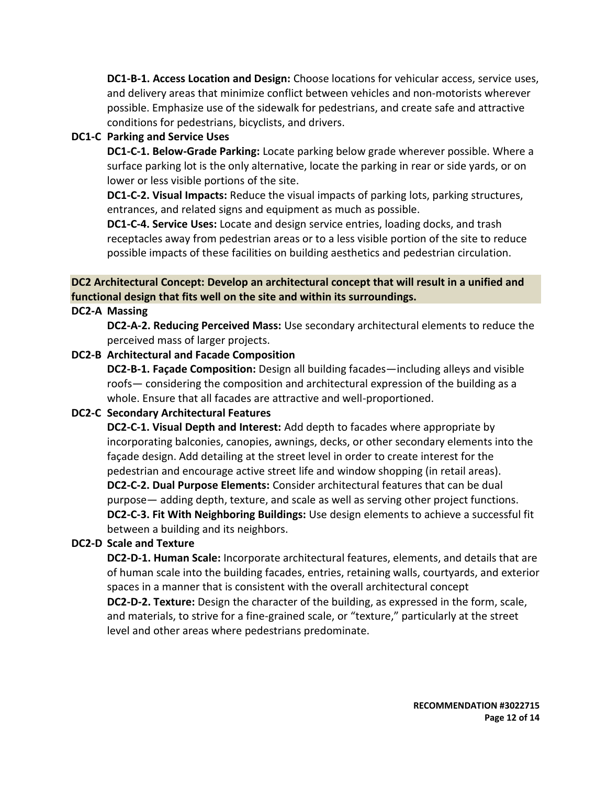**DC1-B-1. Access Location and Design:** Choose locations for vehicular access, service uses, and delivery areas that minimize conflict between vehicles and non-motorists wherever possible. Emphasize use of the sidewalk for pedestrians, and create safe and attractive conditions for pedestrians, bicyclists, and drivers.

# **DC1-C Parking and Service Uses**

**DC1-C-1. Below-Grade Parking:** Locate parking below grade wherever possible. Where a surface parking lot is the only alternative, locate the parking in rear or side yards, or on lower or less visible portions of the site.

**DC1-C-2. Visual Impacts:** Reduce the visual impacts of parking lots, parking structures, entrances, and related signs and equipment as much as possible.

**DC1-C-4. Service Uses:** Locate and design service entries, loading docks, and trash receptacles away from pedestrian areas or to a less visible portion of the site to reduce possible impacts of these facilities on building aesthetics and pedestrian circulation.

# **DC2 Architectural Concept: Develop an architectural concept that will result in a unified and functional design that fits well on the site and within its surroundings.**

**DC2-A Massing**

**DC2-A-2. Reducing Perceived Mass:** Use secondary architectural elements to reduce the perceived mass of larger projects.

#### **DC2-B Architectural and Facade Composition**

**DC2-B-1. Façade Composition:** Design all building facades—including alleys and visible roofs— considering the composition and architectural expression of the building as a whole. Ensure that all facades are attractive and well-proportioned.

#### **DC2-C Secondary Architectural Features**

**DC2-C-1. Visual Depth and Interest:** Add depth to facades where appropriate by incorporating balconies, canopies, awnings, decks, or other secondary elements into the façade design. Add detailing at the street level in order to create interest for the pedestrian and encourage active street life and window shopping (in retail areas). **DC2-C-2. Dual Purpose Elements:** Consider architectural features that can be dual purpose— adding depth, texture, and scale as well as serving other project functions. **DC2-C-3. Fit With Neighboring Buildings:** Use design elements to achieve a successful fit between a building and its neighbors.

# **DC2-D Scale and Texture**

**DC2-D-1. Human Scale:** Incorporate architectural features, elements, and details that are of human scale into the building facades, entries, retaining walls, courtyards, and exterior spaces in a manner that is consistent with the overall architectural concept

**DC2-D-2. Texture:** Design the character of the building, as expressed in the form, scale, and materials, to strive for a fine-grained scale, or "texture," particularly at the street level and other areas where pedestrians predominate.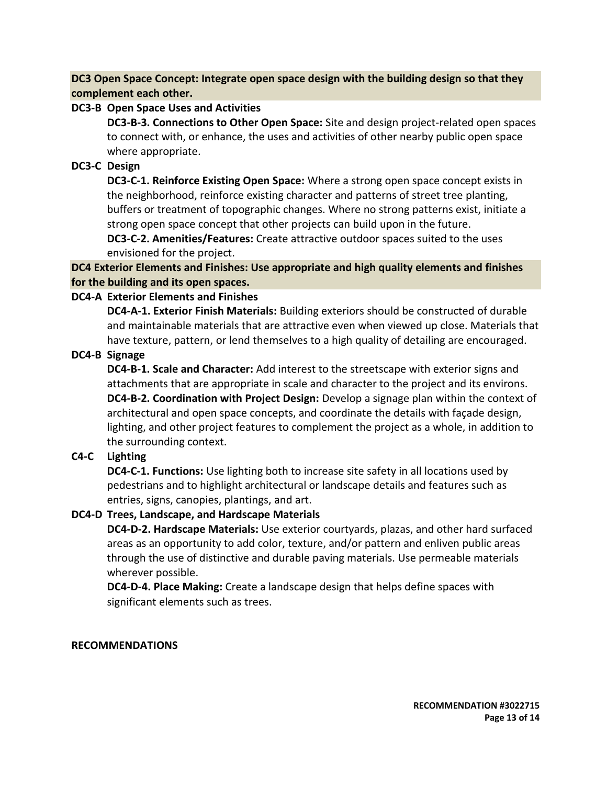**DC3 Open Space Concept: Integrate open space design with the building design so that they complement each other.**

## **DC3-B Open Space Uses and Activities**

**DC3-B-3. Connections to Other Open Space:** Site and design project-related open spaces to connect with, or enhance, the uses and activities of other nearby public open space where appropriate.

# **DC3-C Design**

**DC3-C-1. Reinforce Existing Open Space:** Where a strong open space concept exists in the neighborhood, reinforce existing character and patterns of street tree planting, buffers or treatment of topographic changes. Where no strong patterns exist, initiate a strong open space concept that other projects can build upon in the future.

**DC3-C-2. Amenities/Features:** Create attractive outdoor spaces suited to the uses envisioned for the project.

**DC4 Exterior Elements and Finishes: Use appropriate and high quality elements and finishes for the building and its open spaces.**

# **DC4-A Exterior Elements and Finishes**

**DC4-A-1. Exterior Finish Materials:** Building exteriors should be constructed of durable and maintainable materials that are attractive even when viewed up close. Materials that have texture, pattern, or lend themselves to a high quality of detailing are encouraged.

**DC4-B Signage**

**DC4-B-1. Scale and Character:** Add interest to the streetscape with exterior signs and attachments that are appropriate in scale and character to the project and its environs. **DC4-B-2. Coordination with Project Design:** Develop a signage plan within the context of architectural and open space concepts, and coordinate the details with façade design, lighting, and other project features to complement the project as a whole, in addition to the surrounding context.

# **C4-C Lighting**

**DC4-C-1. Functions:** Use lighting both to increase site safety in all locations used by pedestrians and to highlight architectural or landscape details and features such as entries, signs, canopies, plantings, and art.

# **DC4-D Trees, Landscape, and Hardscape Materials**

**DC4-D-2. Hardscape Materials:** Use exterior courtyards, plazas, and other hard surfaced areas as an opportunity to add color, texture, and/or pattern and enliven public areas through the use of distinctive and durable paving materials. Use permeable materials wherever possible.

**DC4-D-4. Place Making:** Create a landscape design that helps define spaces with significant elements such as trees.

# **RECOMMENDATIONS**